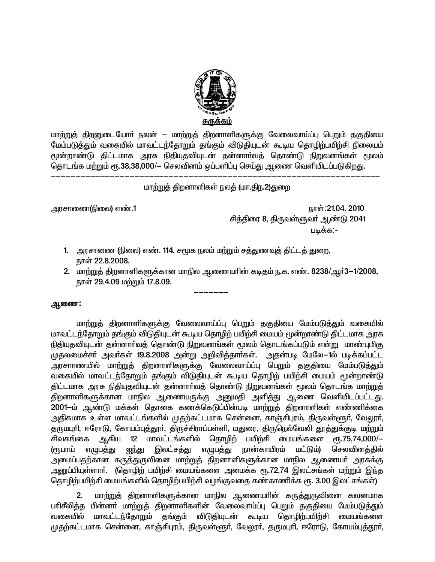

மாற்றுத் திறனுடையோா் நலன் — மாற்றுத் திறனாளிகளுக்கு வேலைவாய்ப்பு பெறும் தகுதியை மேம்படுத்தும் வகையில் மாவட்டந்தோறும் தங்கும் விடுதியுடன் கூடிய தொழிற்பயிற்சி நிலையம் மூன்றாண்டு திட்டமாக அரசு நிதியுதவியுடன் தன்னாா்வத் தொண்டு நிறுவனங்கள் மூலம் தொடங்க மற்றும் ரூ.38,38,000/– செலவினம் ஒப்பளிப்பு செய்து ஆணை வெளியிடப்படுகிறது.

#### மாற்றுத் திறனாளிகள் நலத் (மா.திந.2)துறை

அரசாணை(நிலை) எண்.1

நாள்:21.04. 2010 சித்திரை 8, திருவள்ளுவா் ஆண்டு 2041 படிக்க:-

- 1. அரசாணை (நிலை) எண். 114, சமூக நலம் மற்றும் சத்துணவுத் திட்டத் துறை, நாள் 22.8.2008.
- 2. மாற்றுத் திறனாளிகளுக்கான மாநில ஆணையாின் கடிதம் ந.க. எண். 8238/ஆர்3-1/2008, நாள் 29.4.09 மற்றும் 17.8.09.

#### <u>ஆணை:</u>

மாற்றுத் திறனாளிகளுக்கு வேலைவாய்ப்பு பெறும் தகுதியை மேம்படுத்தும் வகையில் மாவட்டந்தோறும் தங்கும் விடுதியுடன் கூடிய தொழிற் பயிற்சி மையம் மூன்றாண்டு திட்டமாக அரசு நிதியுதவியுடன் தன்னார்வத் தொண்டு நிறுவனங்கள் மூலம் தொடங்கப்படும் என்று மாண்புமிகு முதலமைச்சா் அவா்கள் 19.8.2008 அன்று அறிவித்தாா்கள். அதன்படி மேலே—1ல் படிக்கப்பட்ட அரசாாணயில் மாற்றுத் திறனாளிகளுக்கு வேலைவாய்ப்பு பெறும் தகுதியை மேம்படுத்தும் வகையில் மாவட்டந்தோறும் தங்கும் விடுதியுடன் கூடிய தொழிற் பயிற்சி மையம் மூன்றாண்டு திட்டமாக அரசு நிதியுதவியுடன் தன்னார்வத் தொண்டு நிறுவனங்கள் மூலம் தொடங்க மாற்றுத் திறனாளிகளுக்கான மாநில ஆணையருக்கு அனுமதி அளித்து ஆணை வெளியிடப்பட்டது. 2001–ம் ஆண்டு மக்கள் தொகை கணக்கெடுப்பின்படி மாற்றுத் திறனாளிகள் எண்ணிக்கை அதிகமாக உள்ள மாவட்டங்களில் முதற்கட்டமாக சென்னை, காஞ்சிபுரம், திருவள்ளூர், வேலூர், தருமபுரி, ஈரோடு, கோயம்புத்தூா், திருச்சிராப்பள்ளி, மதுரை, திருநெல்வேலி தூத்துக்குடி மற்றும் ஆகிய 12 மாவட்டங்களில் தொழிற் பயிற்சி மையங்களை ரூ.75,74,000/-சிவகங்கை இலட்சத்து எழுபத்து நான்காயிரம் மட்டும்) (ரூபாய் எழுபத்<u>து</u> ஐந்து செலவினக்கில் அமைப்பதற்கான கருத்துருவினை மாற்றுத் திறனாளிகளுக்கான மாநில ஆணையா் அரசுக்கு அனுப்பியுள்ளாா். (தொழிற் பயிற்சி மையங்களை அமைக்க ரூ.72.74 இலட்சங்கள் மற்றும் இந்த தொழிற்பயிற்சி மையங்களில் தொழிற்பயிற்சி வழங்குவதை கண்காணிக்க ரூ. 3.00 இலட்சங்கள்)

 $2.$ மாற்றுத் திறனாளிகளுக்கான மாநில ஆணையாின் கருத்துருவினை கவனமாக பரிசீலித்த பின்னா் மாற்றுத் திறனாளிகளின் வேலைவாய்ப்பு பெறும் தகுதியை மேம்படுத்தும் வகையில் மாவட்டந்தோறும் தங்கும் விடுதியுடன் கூடிய தொழிற்பயிற்சி மையங்களை முதற்கட்டமாக சென்னை, காஞ்சிபுரம், திருவள்ளூர், வேலூர், தருமபுரி, ஈரோடு, கோயம்புத்தூர்,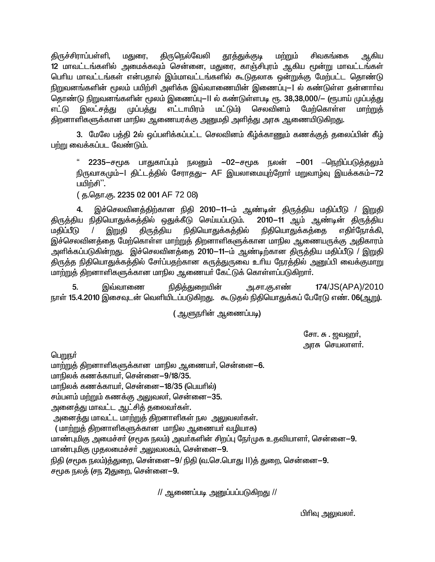திருச்சிராப்பள்ளி, மதுரை, கிருநெல்வேலி <u>தூத்து</u>க்குடி மற்றும் சிவகங்கை ஆகிய 12 மாவட்டங்களில் அமைக்கவும் சென்னை, மதுரை, காஞ்சிபுரம் ஆகிய மூன்று மாவட்டங்கள் பெரிய மாவட்டங்கள் என்பதால் இம்மாவட்டங்களில் கூடுதலாக ஒன்றுக்கு மேற்பட்ட தொண்டு நிறுவனங்களின் மூலம் பயிற்சி அளிக்க இவ்வாணையின் இணைப்பு—I ல் கண்டுள்ள தன்னார்வ தொண்டு நிறுவனங்களின் மூலம் இணைப்பு—II ல் கண்டுள்ளபடி ரூ. 38,38,000/— (ரூபாய் முப்பத்து எட்டு இலட்ச<u>க்க</u>ு முப்ப<u>க்க</u>ு எட்டாயிரம் மட்டும்) செலவினம் மேற்கொள்ள மாற்றுத் திறனாளிகளுக்கான மாநில ஆணையரக்கு அனுமதி அளித்து அரசு ஆணையிடுகிறது.

3. மேலே பத்தி 2ல் ஒப்பளிக்கப்பட்ட செலவினம் கீழ்க்காணும் கணக்குத் தலைப்பின் கீழ் பற்று வைக்கப்பட வேண்டும்.

" 2235-சமூக பாதுகாப்பும் நலனும் -02–சமூக நலன் –001 –நெறிப்படுத்தலும் நிருவாகமும்–1 திட்டத்தில் சேராதது– AF இயலாமையுற்றோர் மறுவாழ்வு இயக்ககம்–72 பயிற்சி".

(த.தொ.கு. 2235 02 001 AF 72 08)

 $\mathbf{4}$ இச்செலவினத்திற்கான நிதி 2010-11-ம் ஆண்டின் திருத்திய மதிப்பீடு / இறுதி திருத்திய நிதியொதுக்கத்தில் ஒதுக்கீடு செய்யப்படும். 2010-11 ஆம் ஆண்டின் திருத்திய மகிப்பீடு இறுதி திருத்திய நிதியொதுக்கத்தில் நிதியொதுக்கத்தை எதிர்நோக்கி, இச்செலவினத்தை மேற்கொள்ள மாற்றுத் திறனாளிகளுக்கான மாநில ஆணையருக்கு அதிகாரம் அளிக்கப்படுகின்றது. இச்செலவினத்தை 2010—11—ம் ஆண்டிற்கான திருத்திய மதிப்பீடு / இறுதி திருத்த நிதியொதுக்கத்தில் சோ்ப்பதற்கான கருத்துருவை உாிய நேரத்தில் அனுப்பி வைக்குமாறு மாற்றுத் திறனாளிகளுக்கான மாநில ஆணையா் கேட்டுக் கொள்ளப்படுகிறாா்.

5. நிதித்துறையின் 174/JS(APA)/2010 இவ்வாணை அ.சா.கு.எண் நாள் 15.4.2010 இசைவுடன் வெளியிடப்படுகிறது. கூடுதல் நிதியொதுக்கப் பேரேடு எண். 06(ஆறு).

( ஆளுநரின் ஆணைப்படி)

சோ. சு . ஜவஹர், அரசு செயலாளா்.

பெறுநர்

மாற்றுத் திறனாளிகளுக்கான மாநில ஆணையா், சென்னை—6.

மாநிலக் கணக்காயா், சென்னை-9/18/35.

மாநிலக் கணக்காயா், சென்னை—18/35 (பெயாில்)

சம்பளம் மற்றும் கணக்கு அலுவலா், சென்னை—35.

அனைத்து மாவட்ட ஆட்சித் தலைவா்கள்.

அனைத்து மாவட்ட மாற்றுத் திறனாளிகள் நல அலுவலா்கள்.

( மாற்றுத் திறனாளிகளுக்கான மாநில ஆணையா் வழியாக)

மாண்புமிகு அமைச்சர் (சமூக நலம்) அவர்களின் சிறப்பு நேர்முக உதவியாளர், சென்னை—9. மாண்புமிகு முதலமைச்சர் அலுவலகம், சென்னை-9.

நிதி (சமூக நலம்)த்துறை, சென்னை—9/ நிதி (வ.செ.பொது II)த் துறை, சென்னை—9.

சமூக நலத் (சந 2)துறை, சென்னை–9.

 $\prime\prime$  ஆணைப்படி அனுப்பப்படுகிறது  $\prime\prime$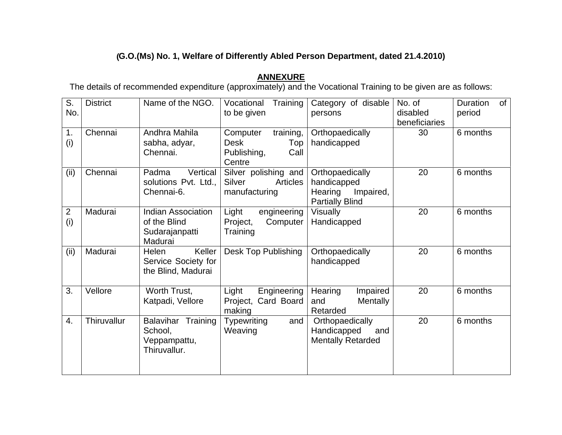## (**G.O.(Ms) No. 1, Welfare of Differently Abled Person Department, dated 21.4.2010)**

**ANNEXURE**<br>The details of recommended expenditure (approximately) and the Vocational Training to be given are as follows:

| S.<br>No.             | <b>District</b> | Name of the NGO.                                                       | Training<br>Vocational<br>to be given                                        | Category of disable<br>persons                                                   | No. of<br>disabled<br>beneficiaries | Duration<br>of<br>period |
|-----------------------|-----------------|------------------------------------------------------------------------|------------------------------------------------------------------------------|----------------------------------------------------------------------------------|-------------------------------------|--------------------------|
| 1.<br>(i)             | Chennai         | Andhra Mahila<br>sabha, adyar,<br>Chennai.                             | training,<br>Computer<br><b>Desk</b><br>Top<br>Publishing,<br>Call<br>Centre | Orthopaedically<br>handicapped                                                   | 30                                  | 6 months                 |
| (ii)                  | Chennai         | Vertical<br>Padma<br>solutions Pvt. Ltd.,<br>Chennai-6.                | Silver polishing and<br>Silver<br><b>Articles</b><br>manufacturing           | Orthopaedically<br>handicapped<br>Hearing<br>Impaired,<br><b>Partially Blind</b> | 20                                  | 6 months                 |
| $\overline{2}$<br>(i) | Madurai         | <b>Indian Association</b><br>of the Blind<br>Sudarajanpatti<br>Madurai | Light<br>engineering<br>Project,<br>Computer<br>Training                     | <b>Visually</b><br>Handicapped                                                   | 20                                  | 6 months                 |
| (ii)                  | Madurai         | Keller<br>Helen<br>Service Society for<br>the Blind, Madurai           | Desk Top Publishing                                                          | Orthopaedically<br>handicapped                                                   | 20                                  | 6 months                 |
| 3.                    | Vellore         | Worth Trust,<br>Katpadi, Vellore                                       | Engineering<br>Light<br>Project, Card Board<br>making                        | Hearing<br>Impaired<br>Mentally<br>and<br>Retarded                               | 20                                  | 6 months                 |
| $\overline{4}$ .      | Thiruvallur     | Training<br>Balavihar<br>School,<br>Veppampattu,<br>Thiruvallur.       | <b>Typewriting</b><br>and<br>Weaving                                         | Orthopaedically<br>Handicapped<br>and<br><b>Mentally Retarded</b>                | 20                                  | 6 months                 |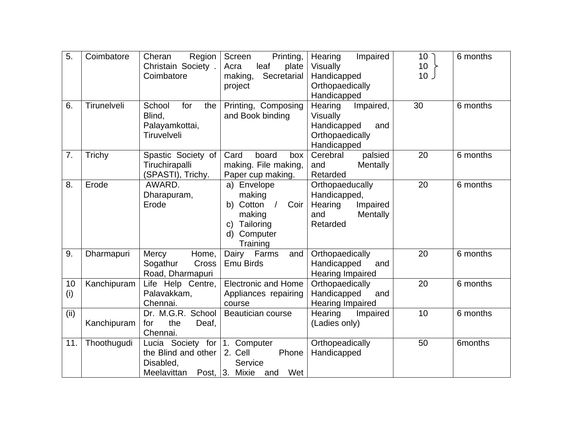| 5.        | Coimbatore  | Cheran<br>Region<br>Christain Society.<br>Coimbatore                                       | Printing,<br>Screen<br>leaf<br>Acra<br>plate<br>making,<br>Secretarial<br>project                                                          | Impaired<br>Hearing<br><b>Visually</b><br>Handicapped<br>Orthopaedically<br>Handicapped  | 10 <sup>7</sup><br>10<br>10 <sub>2</sub> | 6 months             |
|-----------|-------------|--------------------------------------------------------------------------------------------|--------------------------------------------------------------------------------------------------------------------------------------------|------------------------------------------------------------------------------------------|------------------------------------------|----------------------|
| 6.        | Tirunelveli | School<br>for<br>the<br>Blind,<br>Palayamkottai,<br>Tiruvelveli                            | Printing, Composing<br>and Book binding                                                                                                    | Hearing<br>Impaired,<br>Visually<br>Handicapped<br>and<br>Orthopaedically<br>Handicapped | 30                                       | 6 months             |
| 7.        | Trichy      | Spastic Society of<br>Tiruchirapalli<br>(SPASTI), Trichy.                                  | Card<br>board<br>box<br>making. File making,<br>Paper cup making.                                                                          | palsied<br>Cerebral<br>and<br>Mentally<br>Retarded                                       | 20                                       | 6 months             |
| 8.        | Erode       | AWARD.<br>Dharapuram,<br>Erode                                                             | a) Envelope<br>making<br>Cotton<br>$\sqrt{2}$<br>Coir<br>b)<br>making<br>Tailoring<br>$\mathsf{C}$<br>$\mathsf{d}$<br>Computer<br>Training | Orthopaeducally<br>Handicapped,<br>Hearing<br>Impaired<br>Mentally<br>and<br>Retarded    | 20                                       | 6 months             |
| 9.        | Dharmapuri  | Mercy<br>Home,<br>Cross<br>Sogathur<br>Road, Dharmapuri                                    | Dairy<br>Farms<br>and<br><b>Emu Birds</b>                                                                                                  | Orthopaedically<br>Handicapped<br>and<br><b>Hearing Impaired</b>                         | 20                                       | 6 months             |
| 10<br>(i) | Kanchipuram | Life Help Centre,<br>Palavakkam,<br>Chennai.                                               | <b>Electronic and Home</b><br>Appliances repairing<br>course                                                                               | Orthopaedically<br>Handicapped<br>and<br><b>Hearing Impaired</b>                         | 20                                       | 6 months             |
| (ii)      | Kanchipuram | Dr. M.G.R. School<br>the<br>for<br>Deaf,<br>Chennai.                                       | <b>Beautician course</b>                                                                                                                   | Hearing<br>Impaired<br>(Ladies only)                                                     | 10                                       | 6 months             |
| 11.       | Thoothugudi | Lucia Society for $ 1$ .<br>the Blind and other<br>Disabled,<br>Meelavittan Post, 3. Mixie | Computer<br>2. Cell<br>Phone<br>Service<br>Wet<br>and                                                                                      | Orthopeadically<br>Handicapped                                                           | 50                                       | 6 <sub>m</sub> onths |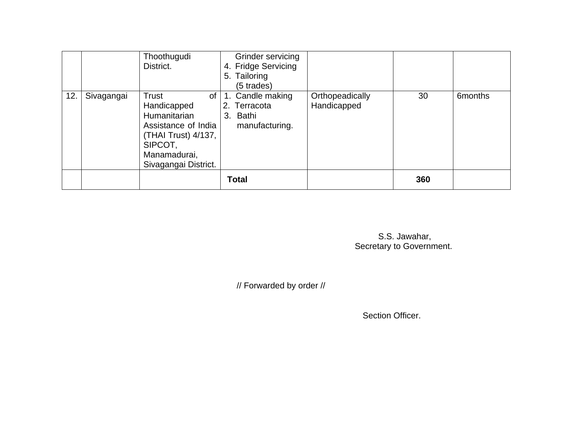|     |            | Thoothugudi<br>District.                                                                                                                           | Grinder servicing<br>4. Fridge Servicing<br>5. Tailoring<br>(5 trades) |                                |     |                      |
|-----|------------|----------------------------------------------------------------------------------------------------------------------------------------------------|------------------------------------------------------------------------|--------------------------------|-----|----------------------|
| 12. | Sivagangai | <b>Trust</b><br>of<br>Handicapped<br>Humanitarian<br>Assistance of India<br>(THAI Trust) 4/137,<br>SIPCOT,<br>Manamadurai,<br>Sivagangai District. | 1. Candle making<br>2. Terracota<br>3. Bathi<br>manufacturing.         | Orthopeadically<br>Handicapped | 30  | 6 <sub>m</sub> onths |
|     |            |                                                                                                                                                    | <b>Total</b>                                                           |                                | 360 |                      |

 S.S. Jawahar, Secretary to Government.

// Forwarded by order //

Section Officer.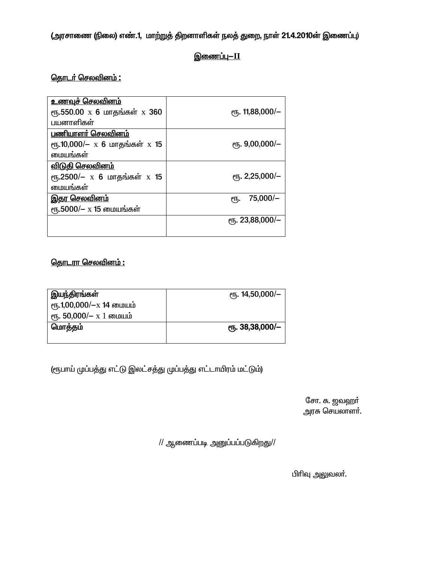(அரசாணை (நிலை) எண்.1, மாற்றுத் திறனாளிகள் நலத் துறை, நாள் 21.4.2010ன் இணைப்பு)

## <u>இணைப்பு—II</u>

### <u>தொடர் செலவினம் :</u>

| <u>உணவுச் செலவினம்</u>             |                     |
|------------------------------------|---------------------|
| ரூ.550.00 x 6 மாதங்கள் x 360       | ет. 11,88,000/-     |
| பயனாளிகள்                          |                     |
| பணியாளா் செலவினம்                  |                     |
| ரூ.10,000/ $- x 6$ மாதங்கள் $x 15$ | $e$ гг. 9,00,000/-  |
| மையங்கள்                           |                     |
| <u>விடுதி செலவினம்</u>             |                     |
| ரூ.2500/- х 6 மாதங்கள் х 15        | $e$ гг. 2,25,000/-  |
| மையங்கள்                           |                     |
| <u>இதர செலவினம்</u>                | $75,000/-$<br>ιҧ.   |
| ரூ.5000/- x 15 மையங்கள்            |                     |
|                                    | $e$ гг. 23,88,000/- |
|                                    |                     |

### <u>தொடரா செலவினம் :</u>

| இயந்திரங்கள்                       | $e$ гђ. 14,50,000/-           |
|------------------------------------|-------------------------------|
| $\epsilon$ гҕ.1,00,000/-х 14 மையம் |                               |
| $\epsilon$ п, 50,000/- х 1 соции   |                               |
| மொத்தம்                            | <sub>e</sub> 5. 38, 38, 000/- |
|                                    |                               |

(ரூபாய் முப்பத்து எட்டு இலட்சத்து முப்பத்து எட்டாயிரம் மட்டும்)

சோ. சு. ஜவஹா் அரசு செயலாளா்.

 $\prime\prime$  ஆணைப்படி அனுப்பப்படுகிறது//

பிரிவு அலுவலா்.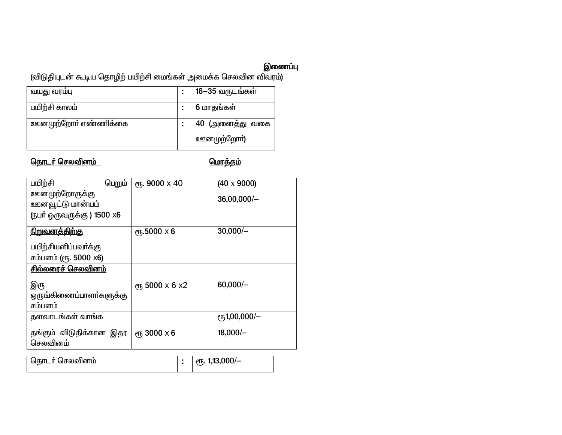இணைப்பு)<br>(விடுதியுடன் கூடிய தொழிற் பயிற்சி மைங்கள் அமைக்க செலவின விவரம்)<br>————————————————————

| வயது வரமபு           | 18−35 வருடங்கள்     |
|----------------------|---------------------|
| பயிற்சி காலம்        | 6 மாதங்கள்          |
| ஊனமுற்றோா் எண்ணிக்கை | 40 (அனைத்து வகை     |
|                      | <u>ஊ</u> னமுற்றோா்) |

# <u>தொடர் செலவினம்</u>

<u> மொத்தம்</u>

| பயிற்சி                   | பெறும் | ет <b>, 9000</b> х 40 | $(40 \times 9000)$         |
|---------------------------|--------|-----------------------|----------------------------|
| <u>ஊ</u> னமுற்றோருக்கு    |        |                       |                            |
| <u>ஊனவூட்டு மான்யம்</u>   |        |                       | $36,00,000/-$              |
| (நபர் ஒருவருக்கு) 1500 x6 |        |                       |                            |
| <u>நிறுவனத்திற்கு</u>     |        | <b>е</b> ђ.5000 х 6   | $30,000/-$                 |
| பயிற்சியளிப்பவர்க்கு      |        |                       |                            |
| சம்பளம் (ரூ. 5000 x6)     |        |                       |                            |
| <u>சில்லரைச் செலவினம்</u> |        |                       |                            |
|                           |        |                       |                            |
| இரு                       |        | ет, 5000 х 6 х2       | $60,000/-$                 |
| ஒருங்கிணைப்பாளா்களுக்கு   |        |                       |                            |
| சம்பளம்                   |        |                       |                            |
| தளவாடங்கள் வாங்க          |        |                       | $e$ <sup>1</sup> ,00,000/- |
|                           |        |                       |                            |
| தங்கும் விடுதிக்கான இதர   |        | <b>ет, 3000 х 6</b>   | $18,000/-$                 |
| செலவினம்                  |        |                       |                            |
|                           |        |                       |                            |

<mark>தொடர் செலவினம்</mark> ரூ. 1,13,000/- $\overline{\mathbf{r}}$